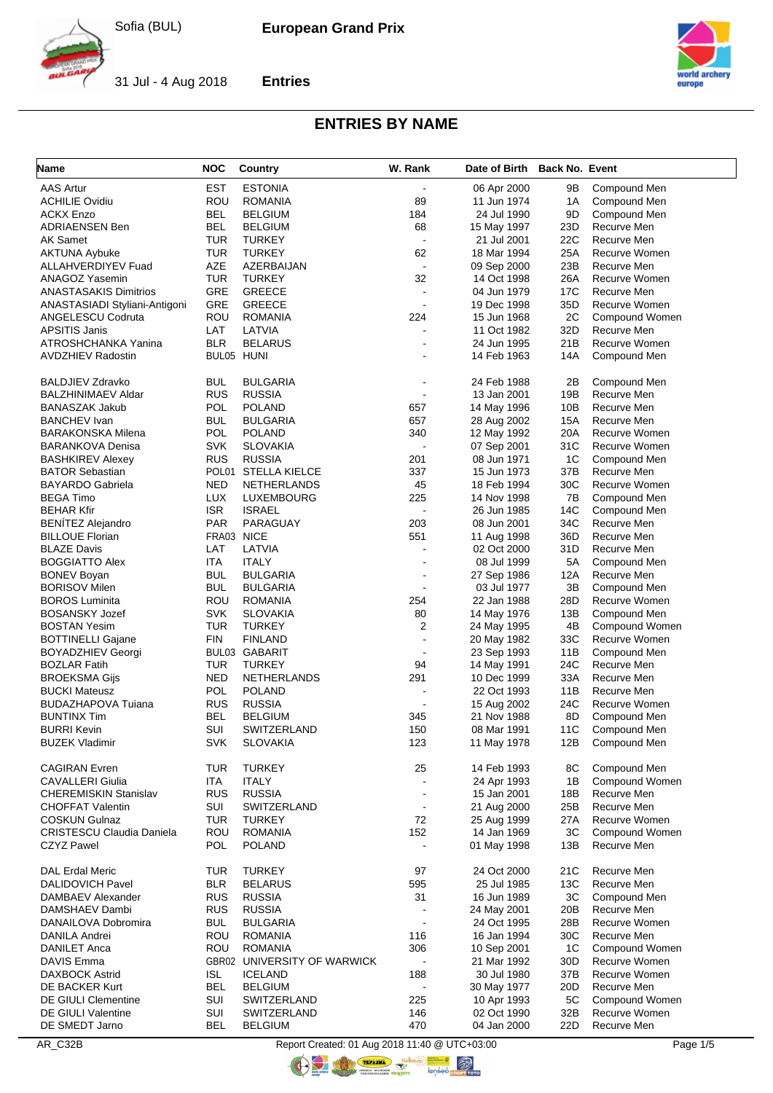**Entries**



31 Jul - 4 Aug 2018



# **ENTRIES BY NAME**

| <b>Name</b>                      | <b>NOC</b> | Country                         | W. Rank                  | Date of Birth Back No. Event |                 |                |
|----------------------------------|------------|---------------------------------|--------------------------|------------------------------|-----------------|----------------|
| <b>AAS Artur</b>                 | EST        | <b>ESTONIA</b>                  |                          | 06 Apr 2000                  | 9Β              | Compound Men   |
| <b>ACHILIE Ovidiu</b>            | <b>ROU</b> | <b>ROMANIA</b>                  | 89                       | 11 Jun 1974                  | 1A              | Compound Men   |
| <b>ACKX Enzo</b>                 | BEL        | <b>BELGIUM</b>                  | 184                      | 24 Jul 1990                  | 9D              | Compound Men   |
| <b>ADRIAENSEN Ben</b>            | BEL        | <b>BELGIUM</b>                  | 68                       | 15 May 1997                  | 23D             | Recurve Men    |
| AK Samet                         | <b>TUR</b> | <b>TURKEY</b>                   | $\blacksquare$           | 21 Jul 2001                  | 22C             | Recurve Men    |
| <b>AKTUNA Aybuke</b>             | <b>TUR</b> | <b>TURKEY</b>                   | 62                       | 18 Mar 1994                  | 25A             | Recurve Women  |
| ALLAHVERDIYEV Fuad               | <b>AZE</b> | AZERBAIJAN                      | $\mathbf{r}$             | 09 Sep 2000                  | 23B             | Recurve Men    |
| ANAGOZ Yasemin                   | TUR        | <b>TURKEY</b>                   | 32                       | 14 Oct 1998                  | 26A             | Recurve Women  |
| <b>ANASTASAKIS Dimitrios</b>     | GRE        | <b>GREECE</b>                   |                          | 04 Jun 1979                  | 17C             | Recurve Men    |
| ANASTASIADI Styliani-Antigoni    | GRE        | <b>GREECE</b>                   |                          | 19 Dec 1998                  | 35D             | Recurve Women  |
| ANGELESCU Codruta                | ROU        | <b>ROMANIA</b>                  | 224                      | 15 Jun 1968                  | 2C              | Compound Women |
| APSITIS Janis                    | LAT        | LATVIA                          |                          | 11 Oct 1982                  | 32D             | Recurve Men    |
| ATROSHCHANKA Yanina              | BLR        | <b>BELARUS</b>                  |                          | 24 Jun 1995                  | 21B             | Recurve Women  |
| <b>AVDZHIEV Radostin</b>         |            | BUL05 HUNI                      |                          | 14 Feb 1963                  | 14A             | Compound Men   |
|                                  |            |                                 |                          |                              |                 |                |
| <b>BALDJIEV Zdravko</b>          | BUL        | <b>BULGARIA</b>                 |                          | 24 Feb 1988                  | 2B              | Compound Men   |
| <b>BALZHINIMAEV Aldar</b>        | <b>RUS</b> | <b>RUSSIA</b>                   |                          | 13 Jan 2001                  | 19B             | Recurve Men    |
| <b>BANASZAK Jakub</b>            | <b>POL</b> | <b>POLAND</b>                   | 657                      | 14 May 1996                  | 10B             | Recurve Men    |
| <b>BANCHEV Ivan</b>              | BUL        | <b>BULGARIA</b>                 | 657                      | 28 Aug 2002                  | 15A             | Recurve Men    |
| <b>BARAKONSKA Milena</b>         | POL        | <b>POLAND</b>                   | 340                      | 12 May 1992                  | 20A             | Recurve Women  |
| <b>BARANKOVA Denisa</b>          | <b>SVK</b> | <b>SLOVAKIA</b>                 | $\overline{\phantom{a}}$ | 07 Sep 2001                  | 31C             | Recurve Women  |
| <b>BASHKIREV Alexey</b>          | <b>RUS</b> | <b>RUSSIA</b>                   | 201                      | 08 Jun 1971                  | 1C              | Compound Men   |
| <b>BATOR Sebastian</b>           | POL01      | <b>STELLA KIELCE</b>            | 337                      | 15 Jun 1973                  | 37B             | Recurve Men    |
| <b>BAYARDO Gabriela</b>          | NED        | <b>NETHERLANDS</b>              | 45                       | 18 Feb 1994                  | 30 <sub>C</sub> | Recurve Women  |
| <b>BEGA Timo</b>                 | <b>LUX</b> | LUXEMBOURG                      | 225                      | 14 Nov 1998                  | 7B              | Compound Men   |
| <b>BEHAR Kfir</b>                | <b>ISR</b> | <b>ISRAEL</b>                   |                          | 26 Jun 1985                  | 14C             | Compound Men   |
| <b>BENÍTEZ Alejandro</b>         | <b>PAR</b> | PARAGUAY                        | 203                      | 08 Jun 2001                  | 34C             | Recurve Men    |
| <b>BILLOUE Florian</b>           |            | FRA03 NICE                      | 551                      | 11 Aug 1998                  | 36D             | Recurve Men    |
| <b>BLAZE Davis</b>               | LAT        | LATVIA                          |                          | 02 Oct 2000                  | 31D             | Recurve Men    |
| <b>BOGGIATTO Alex</b>            | ITA        | <b>ITALY</b>                    |                          | 08 Jul 1999                  | 5A              | Compound Men   |
| <b>BONEV Boyan</b>               | BUL        | <b>BULGARIA</b>                 |                          | 27 Sep 1986                  | 12A             | Recurve Men    |
| <b>BORISOV Milen</b>             | BUL        | <b>BULGARIA</b>                 |                          | 03 Jul 1977                  | 3B              | Compound Men   |
| <b>BOROS Luminita</b>            | <b>ROU</b> | <b>ROMANIA</b>                  | 254                      | 22 Jan 1988                  | 28D             | Recurve Women  |
| <b>BOSANSKY Jozef</b>            | <b>SVK</b> | <b>SLOVAKIA</b>                 | 80                       | 14 May 1976                  | 13B             | Compound Men   |
| <b>BOSTAN Yesim</b>              | TUR        | <b>TURKEY</b>                   | 2                        | 24 May 1995                  | 4B              | Compound Women |
| <b>BOTTINELLI Gajane</b>         | FIN        | <b>FINLAND</b>                  | $\blacksquare$           | 20 May 1982                  | 33C             | Recurve Women  |
| <b>BOYADZHIEV Georgi</b>         |            | BUL03 GABARIT                   | $\blacksquare$           | 23 Sep 1993                  | 11B             | Compound Men   |
| <b>BOZLAR Fatih</b>              | TUR        | <b>TURKEY</b>                   | 94                       | 14 May 1991                  | 24C             | Recurve Men    |
| <b>BROEKSMA Gijs</b>             | NED        | <b>NETHERLANDS</b>              | 291                      | 10 Dec 1999                  | 33A             | Recurve Men    |
| <b>BUCKI Mateusz</b>             | POL        | <b>POLAND</b>                   |                          | 22 Oct 1993                  | 11B             | Recurve Men    |
| <b>BUDAZHAPOVA Tuiana</b>        | <b>RUS</b> | <b>RUSSIA</b>                   |                          | 15 Aug 2002                  | 24C             | Recurve Women  |
| <b>BUNTINX Tim</b>               | BEL        | <b>BELGIUM</b>                  | 345                      | 21 Nov 1988                  | 8D              | Compound Men   |
| <b>BURRI Kevin</b>               | SUI        | SWITZERLAND                     | 150                      | 08 Mar 1991                  | 11C             | Compound Men   |
| <b>BUZEK Vladimir</b>            | <b>SVK</b> | <b>SLOVAKIA</b>                 | 123                      | 11 May 1978                  | 12B             | Compound Men   |
|                                  |            |                                 |                          |                              |                 |                |
| <b>CAGIRAN Evren</b>             | TUR        | <b>TURKEY</b>                   | 25                       | 14 Feb 1993                  | 8C              | Compound Men   |
| <b>CAVALLERI Giulia</b>          | <b>ITA</b> | <b>ITALY</b>                    | $\blacksquare$           | 24 Apr 1993                  | 1B              | Compound Women |
| <b>CHEREMISKIN Stanislav</b>     | <b>RUS</b> | <b>RUSSIA</b>                   |                          | 15 Jan 2001                  | 18B             | Recurve Men    |
| <b>CHOFFAT Valentin</b>          | SUI        | SWITZERLAND                     | $\blacksquare$           | 21 Aug 2000                  | 25B             | Recurve Men    |
| <b>COSKUN Gulnaz</b>             | <b>TUR</b> | <b>TURKEY</b>                   | 72                       | 25 Aug 1999                  | 27A             | Recurve Women  |
| <b>CRISTESCU Claudia Daniela</b> | ROU        | <b>ROMANIA</b>                  | 152                      | 14 Jan 1969                  | 3C              | Compound Women |
| <b>CZYZ Pawel</b>                | <b>POL</b> | <b>POLAND</b>                   |                          | 01 May 1998                  | 13B             | Recurve Men    |
| <b>DAL Erdal Meric</b>           | <b>TUR</b> | <b>TURKEY</b>                   | 97                       | 24 Oct 2000                  | 21C             | Recurve Men    |
| DALIDOVICH Pavel                 | <b>BLR</b> |                                 | 595                      | 25 Jul 1985                  | 13C             | Recurve Men    |
| DAMBAEV Alexander                | <b>RUS</b> | <b>BELARUS</b><br><b>RUSSIA</b> | 31                       | 16 Jun 1989                  | 3C              | Compound Men   |
|                                  | <b>RUS</b> | <b>RUSSIA</b>                   | $\blacksquare$           |                              | 20B             | Recurve Men    |
| DAMSHAEV Dambi                   |            |                                 | $\blacksquare$           | 24 May 2001                  |                 |                |
| DANAILOVA Dobromira              | <b>BUL</b> | <b>BULGARIA</b>                 |                          | 24 Oct 1995                  | 28B             | Recurve Women  |
| DANILA Andrei                    | ROU        | <b>ROMANIA</b>                  | 116                      | 16 Jan 1994                  | 30C             | Recurve Men    |
| <b>DANILET Anca</b>              | <b>ROU</b> | <b>ROMANIA</b>                  | 306                      | 10 Sep 2001                  | 1C              | Compound Women |
| DAVIS Emma                       |            | GBR02 UNIVERSITY OF WARWICK     |                          | 21 Mar 1992                  | 30D             | Recurve Women  |
| <b>DAXBOCK Astrid</b>            | <b>ISL</b> | <b>ICELAND</b>                  | 188                      | 30 Jul 1980                  | 37B             | Recurve Women  |
| DE BACKER Kurt                   | <b>BEL</b> | <b>BELGIUM</b>                  | $\overline{\phantom{a}}$ | 30 May 1977                  | 20 <sub>D</sub> | Recurve Men    |
| DE GIULI Clementine              | SUI        | SWITZERLAND                     | 225                      | 10 Apr 1993                  | 5C              | Compound Women |
| <b>DE GIULI Valentine</b>        | SUI        | SWITZERLAND                     | 146                      | 02 Oct 1990                  | 32B             | Recurve Women  |
| DE SMEDT Jarno                   | <b>BEL</b> | <b>BELGIUM</b>                  | 470                      | 04 Jan 2000                  | 22D             | Recurve Men    |

AR\_C32B Report Created: 01 Aug 2018 11:40 @ UTC+03:00 Page 1/5

**ORIGINAL** 

COOL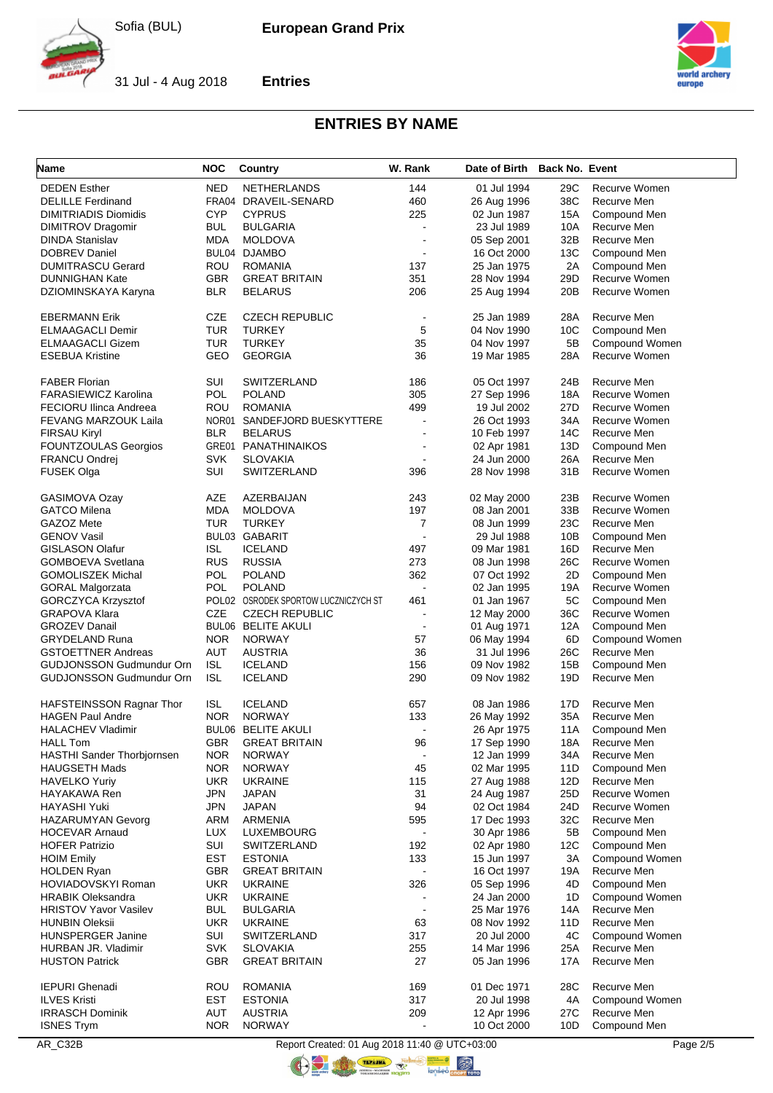**Entries**



31 Jul - 4 Aug 2018



# **ENTRIES BY NAME**

| <b>Name</b>                                   | <b>NOC</b>        | Country                               | W. Rank                  | Date of Birth Back No. Event |                 |                             |
|-----------------------------------------------|-------------------|---------------------------------------|--------------------------|------------------------------|-----------------|-----------------------------|
| <b>DEDEN Esther</b>                           | <b>NED</b>        | <b>NETHERLANDS</b>                    | 144                      | 01 Jul 1994                  | 29C             | Recurve Women               |
| <b>DELILLE Ferdinand</b>                      |                   | FRA04 DRAVEIL-SENARD                  | 460                      | 26 Aug 1996                  | 38C             | Recurve Men                 |
| <b>DIMITRIADIS Diomidis</b>                   | <b>CYP</b>        | <b>CYPRUS</b>                         | 225                      | 02 Jun 1987                  | 15A             | Compound Men                |
| <b>DIMITROV Dragomir</b>                      | <b>BUL</b>        | <b>BULGARIA</b>                       |                          | 23 Jul 1989                  | 10A             | Recurve Men                 |
| <b>DINDA Stanislav</b>                        | <b>MDA</b>        | <b>MOLDOVA</b>                        |                          | 05 Sep 2001                  | 32B             | Recurve Men                 |
| <b>DOBREV Daniel</b>                          |                   | BUL04 DJAMBO                          | $\overline{\phantom{a}}$ | 16 Oct 2000                  | 13C             | Compound Men                |
| <b>DUMITRASCU Gerard</b>                      | ROU               | <b>ROMANIA</b>                        | 137                      | 25 Jan 1975                  | 2A              | Compound Men                |
| <b>DUNNIGHAN Kate</b>                         | <b>GBR</b>        | <b>GREAT BRITAIN</b>                  | 351                      | 28 Nov 1994                  | 29D             | Recurve Women               |
| DZIOMINSKAYA Karyna                           | <b>BLR</b>        | <b>BELARUS</b>                        | 206                      | 25 Aug 1994                  | 20 <sub>B</sub> | Recurve Women               |
| <b>EBERMANN Erik</b>                          | <b>CZE</b>        | <b>CZECH REPUBLIC</b>                 |                          | 25 Jan 1989                  | 28A             | Recurve Men                 |
| <b>ELMAAGACLI Demir</b>                       | TUR               | <b>TURKEY</b>                         | 5                        | 04 Nov 1990                  | 10C             | Compound Men                |
| <b>ELMAAGACLI Gizem</b>                       | <b>TUR</b>        | <b>TURKEY</b>                         | 35                       | 04 Nov 1997                  | 5B              | Compound Women              |
| <b>ESEBUA Kristine</b>                        | GEO               | <b>GEORGIA</b>                        | 36                       | 19 Mar 1985                  | 28A             | Recurve Women               |
|                                               |                   |                                       |                          |                              |                 |                             |
| <b>FABER Florian</b>                          | SUI               | <b>SWITZERLAND</b>                    | 186                      | 05 Oct 1997                  | 24B             | Recurve Men                 |
| <b>FARASIEWICZ Karolina</b>                   | <b>POL</b>        | <b>POLAND</b>                         | 305                      | 27 Sep 1996                  | 18A             | Recurve Women               |
| <b>FECIORU Ilinca Andreea</b>                 | ROU               | <b>ROMANIA</b>                        | 499                      | 19 Jul 2002                  | 27D             | Recurve Women               |
| <b>FEVANG MARZOUK Laila</b>                   |                   | NOR01 SANDEFJORD BUESKYTTERE          |                          | 26 Oct 1993                  | 34A             | Recurve Women               |
| <b>FIRSAU Kiryl</b>                           | <b>BLR</b>        | <b>BELARUS</b>                        | $\blacksquare$           | 10 Feb 1997                  | 14C             | Recurve Men                 |
| <b>FOUNTZOULAS Georgios</b>                   |                   | <b>GRE01 PANATHINAIKOS</b>            |                          | 02 Apr 1981                  | 13D             | Compound Men                |
| FRANCU Ondrej                                 | <b>SVK</b>        | <b>SLOVAKIA</b>                       |                          | 24 Jun 2000                  | 26A             | Recurve Men                 |
| <b>FUSEK Olga</b>                             | SUI               | SWITZERLAND                           | 396                      | 28 Nov 1998                  | 31B             | Recurve Women               |
| GASIMOVA Ozay                                 | AZE               | AZERBAIJAN                            | 243                      | 02 May 2000                  | 23B             | Recurve Women               |
| <b>GATCO Milena</b>                           | MDA               | <b>MOLDOVA</b>                        | 197                      | 08 Jan 2001                  | 33B             | Recurve Women               |
| GAZOZ Mete                                    | TUR               | <b>TURKEY</b>                         | 7                        | 08 Jun 1999                  | 23C             | Recurve Men                 |
| <b>GENOV Vasil</b>                            |                   | BUL03 GABARIT                         |                          | 29 Jul 1988                  | 10B             | Compound Men                |
| <b>GISLASON Olafur</b>                        | ISL               | <b>ICELAND</b>                        | 497                      | 09 Mar 1981                  | 16D             | Recurve Men                 |
| GOMBOEVA Svetlana                             | <b>RUS</b>        | <b>RUSSIA</b>                         | 273                      | 08 Jun 1998                  | 26C             | Recurve Women               |
| <b>GOMOLISZEK Michal</b>                      | <b>POL</b>        | <b>POLAND</b>                         | 362                      | 07 Oct 1992                  | 2D              | Compound Men                |
| <b>GORAL Malgorzata</b>                       | <b>POL</b>        | <b>POLAND</b>                         |                          | 02 Jan 1995                  | 19A             | Recurve Women               |
| GORCZYCA Krzysztof                            |                   | POL02 OSRODEK SPORTOW LUCZNICZYCH ST  | 461                      | 01 Jan 1967                  | 5C              | Compound Men                |
| <b>GRAPOVA Klara</b>                          | <b>CZE</b>        | <b>CZECH REPUBLIC</b>                 |                          | 12 May 2000                  | 36C             | Recurve Women               |
| <b>GROZEV Danail</b>                          |                   | <b>BUL06 BELITE AKULI</b>             |                          | 01 Aug 1971                  | 12A             | Compound Men                |
| <b>GRYDELAND Runa</b>                         | <b>NOR</b>        | <b>NORWAY</b>                         | 57                       | 06 May 1994                  | 6D              | Compound Women              |
| <b>GSTOETTNER Andreas</b>                     | AUT               | AUSTRIA                               | 36                       | 31 Jul 1996                  | 26C             | Recurve Men                 |
| <b>GUDJONSSON Gudmundur Orn</b>               | <b>ISL</b>        | <b>ICELAND</b>                        | 156                      | 09 Nov 1982                  | 15B             | Compound Men                |
| <b>GUDJONSSON Gudmundur Orn</b>               | <b>ISL</b>        | <b>ICELAND</b>                        | 290                      | 09 Nov 1982                  | 19D             | Recurve Men                 |
|                                               |                   |                                       |                          |                              |                 |                             |
| HAFSTEINSSON Ragnar Thor                      | ISL               | <b>ICELAND</b>                        | 657                      | 08 Jan 1986                  | 17D             | Recurve Men                 |
| <b>HAGEN Paul Andre</b>                       | <b>NOR</b>        | <b>NORWAY</b>                         | 133                      | 26 May 1992                  | 35A             | Recurve Men                 |
| <b>HALACHEV Vladimir</b>                      |                   | <b>BUL06 BELITE AKULI</b>             |                          | 26 Apr 1975<br>17 Sep 1990   | 11A             | Compound Men<br>Recurve Men |
| <b>HALL Tom</b><br>HASTHI Sander Thorbjornsen | GBR<br><b>NOR</b> | <b>GREAT BRITAIN</b><br><b>NORWAY</b> | 96<br>$\blacksquare$     | 12 Jan 1999                  | 18A<br>34A      | Recurve Men                 |
|                                               | <b>NOR</b>        | <b>NORWAY</b>                         | 45                       |                              | 11D             | Compound Men                |
| <b>HAUGSETH Mads</b>                          | <b>UKR</b>        |                                       | 115                      | 02 Mar 1995                  |                 | Recurve Men                 |
| <b>HAVELKO Yuriy</b><br>HAYAKAWA Ren          | <b>JPN</b>        | <b>UKRAINE</b><br><b>JAPAN</b>        | 31                       | 27 Aug 1988<br>24 Aug 1987   | 12D<br>25D      | Recurve Women               |
| <b>HAYASHI Yuki</b>                           | <b>JPN</b>        | <b>JAPAN</b>                          | 94                       | 02 Oct 1984                  | 24D             | Recurve Women               |
| <b>HAZARUMYAN Gevorg</b>                      | ARM               | ARMENIA                               | 595                      | 17 Dec 1993                  | 32C             | Recurve Men                 |
| <b>HOCEVAR Arnaud</b>                         | <b>LUX</b>        | LUXEMBOURG                            |                          | 30 Apr 1986                  | 5B              | Compound Men                |
| <b>HOFER Patrizio</b>                         | SUI               | SWITZERLAND                           | 192                      | 02 Apr 1980                  | 12C             | Compound Men                |
| <b>HOIM Emily</b>                             | EST               | <b>ESTONIA</b>                        | 133                      | 15 Jun 1997                  | 3A              | Compound Women              |
| <b>HOLDEN Ryan</b>                            | <b>GBR</b>        | <b>GREAT BRITAIN</b>                  |                          | 16 Oct 1997                  | 19A             | Recurve Men                 |
| HOVIADOVSKYI Roman                            | <b>UKR</b>        | <b>UKRAINE</b>                        | 326                      | 05 Sep 1996                  | 4D              | Compound Men                |
| <b>HRABIK Oleksandra</b>                      | <b>UKR</b>        | <b>UKRAINE</b>                        |                          | 24 Jan 2000                  | 1D              | Compound Women              |
| <b>HRISTOV Yavor Vasilev</b>                  | <b>BUL</b>        | <b>BULGARIA</b>                       | $\blacksquare$           | 25 Mar 1976                  | 14A             | Recurve Men                 |
| <b>HUNBIN Oleksii</b>                         | <b>UKR</b>        | <b>UKRAINE</b>                        | 63                       | 08 Nov 1992                  | 11D             | Recurve Men                 |
| <b>HUNSPERGER Janine</b>                      | SUI               | SWITZERLAND                           | 317                      | 20 Jul 2000                  | 4C              | Compound Women              |
| HURBAN JR. Vladimir                           | <b>SVK</b>        | <b>SLOVAKIA</b>                       | 255                      | 14 Mar 1996                  | 25A             | Recurve Men                 |
| <b>HUSTON Patrick</b>                         | <b>GBR</b>        | <b>GREAT BRITAIN</b>                  | 27                       | 05 Jan 1996                  | 17A             | Recurve Men                 |
|                                               |                   |                                       |                          |                              |                 |                             |
| <b>IEPURI Ghenadi</b>                         | ROU               | <b>ROMANIA</b>                        | 169                      | 01 Dec 1971                  | 28C             | Recurve Men                 |
| <b>ILVES Kristi</b>                           | <b>EST</b>        | <b>ESTONIA</b>                        | 317                      | 20 Jul 1998                  | 4A              | Compound Women              |
| <b>IRRASCH Dominik</b>                        | AUT               | <b>AUSTRIA</b>                        | 209                      | 12 Apr 1996                  | 27C             | Recurve Men                 |
| <b>ISNES Trym</b>                             | <b>NOR</b>        | <b>NORWAY</b>                         |                          | 10 Oct 2000                  | 10D             | Compound Men                |

AR\_C32B Report Created: 01 Aug 2018 11:40 @ UTC+03:00 Page 2/5

**ORIGINAL** 

OCTOBER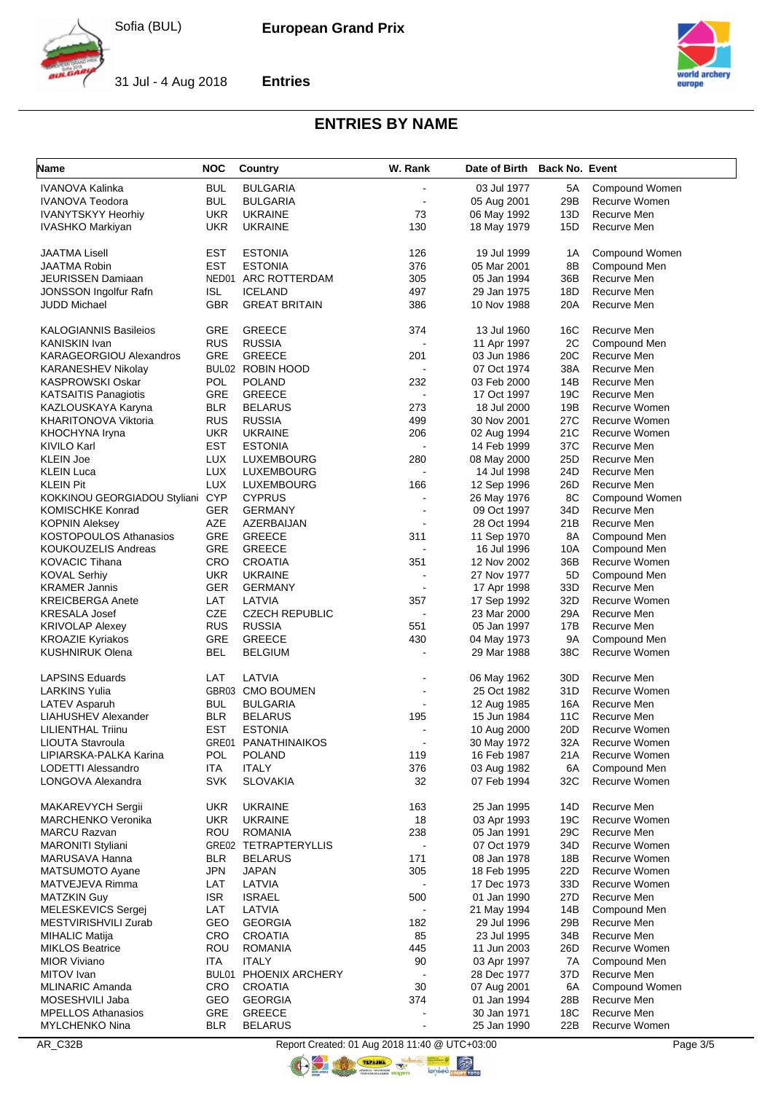**Entries**



31 Jul - 4 Aug 2018



# **ENTRIES BY NAME**

| Name                           | <b>NOC</b>        | Country                     | W. Rank                  | Date of Birth Back No. Event |                 |                |
|--------------------------------|-------------------|-----------------------------|--------------------------|------------------------------|-----------------|----------------|
| IVANOVA Kalinka                | BUL               | <b>BULGARIA</b>             |                          | 03 Jul 1977                  | 5A              | Compound Women |
| <b>IVANOVA Teodora</b>         | <b>BUL</b>        | <b>BULGARIA</b>             | $\blacksquare$           | 05 Aug 2001                  | 29B             | Recurve Women  |
| <b>IVANYTSKYY Heorhiy</b>      | UKR               | <b>UKRAINE</b>              | 73                       | 06 May 1992                  | 13D             | Recurve Men    |
| IVASHKO Markiyan               | UKR               | <b>UKRAINE</b>              | 130                      | 18 May 1979                  | 15D             | Recurve Men    |
|                                | <b>EST</b>        | <b>ESTONIA</b>              | 126                      | 19 Jul 1999                  |                 | Compound Women |
| JAATMA Lisell<br>JAATMA Robin  | <b>EST</b>        | <b>ESTONIA</b>              | 376                      | 05 Mar 2001                  | 1A<br>8B        | Compound Men   |
| <b>JEURISSEN Damiaan</b>       |                   | NED01 ARC ROTTERDAM         | 305                      | 05 Jan 1994                  | 36B             | Recurve Men    |
|                                |                   |                             |                          |                              |                 |                |
| <b>JONSSON Ingolfur Rafn</b>   | ISL<br><b>GBR</b> | <b>ICELAND</b>              | 497<br>386               | 29 Jan 1975                  | 18D             | Recurve Men    |
| JUDD Michael                   |                   | <b>GREAT BRITAIN</b>        |                          | 10 Nov 1988                  | 20A             | Recurve Men    |
| <b>KALOGIANNIS Basileios</b>   | GRE               | <b>GREECE</b>               | 374                      | 13 Jul 1960                  | 16C             | Recurve Men    |
| KANISKIN Ivan                  | <b>RUS</b>        | <b>RUSSIA</b>               |                          | 11 Apr 1997                  | 2C              | Compound Men   |
| <b>KARAGEORGIOU Alexandros</b> | GRE               | <b>GREECE</b>               | 201                      | 03 Jun 1986                  | 20C             | Recurve Men    |
| KARANESHEV Nikolay             |                   | BUL02 ROBIN HOOD            |                          | 07 Oct 1974                  | 38A             | Recurve Men    |
| KASPROWSKI Oskar               | POL               | <b>POLAND</b>               | 232                      | 03 Feb 2000                  | 14B             | Recurve Men    |
| <b>KATSAITIS Panagiotis</b>    | GRE               | <b>GREECE</b>               | $\blacksquare$           | 17 Oct 1997                  | 19C             | Recurve Men    |
| KAZLOUSKAYA Karyna             | <b>BLR</b>        | <b>BELARUS</b>              | 273                      | 18 Jul 2000                  | 19B             | Recurve Women  |
| KHARITONOVA Viktoria           | <b>RUS</b>        | <b>RUSSIA</b>               | 499                      | 30 Nov 2001                  | 27C             | Recurve Women  |
| KHOCHYNA Iryna                 | UKR               | <b>UKRAINE</b>              | 206                      | 02 Aug 1994                  | 21C             | Recurve Women  |
| KIVILO Karl                    | <b>EST</b>        | <b>ESTONIA</b>              | $\sim$                   | 14 Feb 1999                  | 37C             | Recurve Men    |
| <b>KLEIN Joe</b>               | LUX               | LUXEMBOURG                  | 280                      | 08 May 2000                  | 25D             | Recurve Men    |
| <b>KLEIN Luca</b>              | LUX               | LUXEMBOURG                  |                          | 14 Jul 1998                  | 24D             | Recurve Men    |
| <b>KLEIN Pit</b>               | <b>LUX</b>        | LUXEMBOURG                  | 166                      | 12 Sep 1996                  | 26D             | Recurve Men    |
| KOKKINOU GEORGIADOU Styliani   | <b>CYP</b>        | <b>CYPRUS</b>               |                          | 26 May 1976                  | 8C              | Compound Women |
|                                |                   |                             |                          |                              |                 |                |
| <b>KOMISCHKE Konrad</b>        | <b>GER</b>        | <b>GERMANY</b>              |                          | 09 Oct 1997                  | 34D             | Recurve Men    |
| <b>KOPNIN Aleksey</b>          | AZE               | AZERBAIJAN                  |                          | 28 Oct 1994                  | 21B             | Recurve Men    |
| <b>KOSTOPOULOS Athanasios</b>  | <b>GRE</b>        | <b>GREECE</b>               | 311                      | 11 Sep 1970                  | 8A              | Compound Men   |
| <b>KOUKOUZELIS Andreas</b>     | GRE               | <b>GREECE</b>               |                          | 16 Jul 1996                  | 10A             | Compound Men   |
| <b>KOVACIC Tihana</b>          | CRO               | <b>CROATIA</b>              | 351                      | 12 Nov 2002                  | 36B             | Recurve Women  |
| <b>KOVAL Serhiy</b>            | <b>UKR</b>        | <b>UKRAINE</b>              |                          | 27 Nov 1977                  | 5D              | Compound Men   |
| <b>KRAMER Jannis</b>           | <b>GER</b>        | <b>GERMANY</b>              |                          | 17 Apr 1998                  | 33D             | Recurve Men    |
| <b>KREICBERGA Anete</b>        | LAT               | LATVIA                      | 357                      | 17 Sep 1992                  | 32D             | Recurve Women  |
| <b>KRESALA Josef</b>           | <b>CZE</b>        | <b>CZECH REPUBLIC</b>       |                          | 23 Mar 2000                  | 29A             | Recurve Men    |
| <b>KRIVOLAP Alexey</b>         | <b>RUS</b>        | <b>RUSSIA</b>               | 551                      | 05 Jan 1997                  | 17B             | Recurve Men    |
| <b>KROAZIE Kyriakos</b>        | GRE               | <b>GREECE</b>               | 430                      | 04 May 1973                  | 9A              | Compound Men   |
| <b>KUSHNIRUK Olena</b>         | BEL               | <b>BELGIUM</b>              | $\blacksquare$           | 29 Mar 1988                  | 38C             | Recurve Women  |
| <b>LAPSINS Eduards</b>         | LAT               | LATVIA                      |                          | 06 May 1962                  | 30 <sub>D</sub> | Recurve Men    |
| LARKINS Yulia                  |                   | GBR03 CMO BOUMEN            |                          | 25 Oct 1982                  | 31D             | Recurve Women  |
| LATEV Asparuh                  | <b>BUL</b>        | <b>BULGARIA</b>             |                          |                              | 16A             | Recurve Men    |
| <b>LIAHUSHEV Alexander</b>     | <b>BLR</b>        | <b>BELARUS</b>              | 195                      | 12 Aug 1985<br>15 Jun 1984   | 11C             | Recurve Men    |
|                                | <b>EST</b>        |                             | $\overline{\phantom{a}}$ |                              | 20D             |                |
| LILIENTHAL Triinu              |                   | <b>ESTONIA</b>              |                          | 10 Aug 2000                  |                 | Recurve Women  |
| LIOU I A Stavroula             |                   | GRE01 PANATHINAIKOS         | $\blacksquare$           | 30 May 1972                  | 32A             | Recurve Women  |
| LIPIARSKA-PALKA Karina         | <b>POL</b>        | <b>POLAND</b>               | 119                      | 16 Feb 1987                  | 21A             | Recurve Women  |
| LODETTI Alessandro             | ITA               | <b>ITALY</b>                | 376                      | 03 Aug 1982                  | 6A              | Compound Men   |
| LONGOVA Alexandra              | <b>SVK</b>        | <b>SLOVAKIA</b>             | 32                       | 07 Feb 1994                  | 32C             | Recurve Women  |
| MAKAREVYCH Sergii              | UKR               | <b>UKRAINE</b>              | 163                      | 25 Jan 1995                  | 14D             | Recurve Men    |
| <b>MARCHENKO Veronika</b>      | <b>UKR</b>        | <b>UKRAINE</b>              | 18                       | 03 Apr 1993                  | 19C             | Recurve Women  |
| <b>MARCU Razvan</b>            | ROU               | <b>ROMANIA</b>              | 238                      | 05 Jan 1991                  | 29C             | Recurve Men    |
| <b>MARONITI Styliani</b>       |                   | <b>GRE02 TETRAPTERYLLIS</b> |                          | 07 Oct 1979                  | 34D             | Recurve Women  |
| MARUSAVA Hanna                 | <b>BLR</b>        | <b>BELARUS</b>              | 171                      | 08 Jan 1978                  | 18B             | Recurve Women  |
| MATSUMOTO Ayane                | <b>JPN</b>        | <b>JAPAN</b>                | 305                      | 18 Feb 1995                  | 22D             | Recurve Women  |
| MATVEJEVA Rimma                | LAT               | LATVIA                      |                          | 17 Dec 1973                  | 33D             | Recurve Women  |
| <b>MATZKIN Guy</b>             | <b>ISR</b>        | <b>ISRAEL</b>               | 500                      | 01 Jan 1990                  | 27D             | Recurve Men    |
| MELESKEVICS Sergej             | LAT               | LATVIA                      |                          | 21 May 1994                  | 14B             | Compound Men   |
| MESTVIRISHVILI Zurab           | GEO               | <b>GEORGIA</b>              | 182                      | 29 Jul 1996                  | 29B             | Recurve Men    |
| <b>MIHALIC Matija</b>          | <b>CRO</b>        | <b>CROATIA</b>              | 85                       | 23 Jul 1995                  | 34B             | Recurve Men    |
|                                |                   |                             |                          |                              |                 |                |
| <b>MIKLOS Beatrice</b>         | <b>ROU</b>        | <b>ROMANIA</b>              | 445                      | 11 Jun 2003                  | 26D             | Recurve Women  |
| <b>MIOR Viviano</b>            | ITA               | <b>ITALY</b>                | 90                       | 03 Apr 1997                  | 7A              | Compound Men   |
| MITOV Ivan                     |                   | BUL01 PHOENIX ARCHERY       |                          | 28 Dec 1977                  | 37D             | Recurve Men    |
| <b>MLINARIC Amanda</b>         | CRO               | <b>CROATIA</b>              | 30                       | 07 Aug 2001                  | 6A              | Compound Women |
| MOSESHVILI Jaba                | GEO               | <b>GEORGIA</b>              | 374                      | 01 Jan 1994                  | 28B             | Recurve Men    |
| <b>MPELLOS Athanasios</b>      | GRE               | <b>GREECE</b>               |                          | 30 Jan 1971                  | 18C             | Recurve Men    |
| MYLCHENKO Nina                 | <b>BLR</b>        | <b>BELARUS</b>              | $\overline{a}$           | 25 Jan 1990                  | 22B             | Recurve Women  |

AR\_C32B Report Created: 01 Aug 2018 11:40 @ UTC+03:00 Page 3/5 OF THE THE R

**ORIGINAL**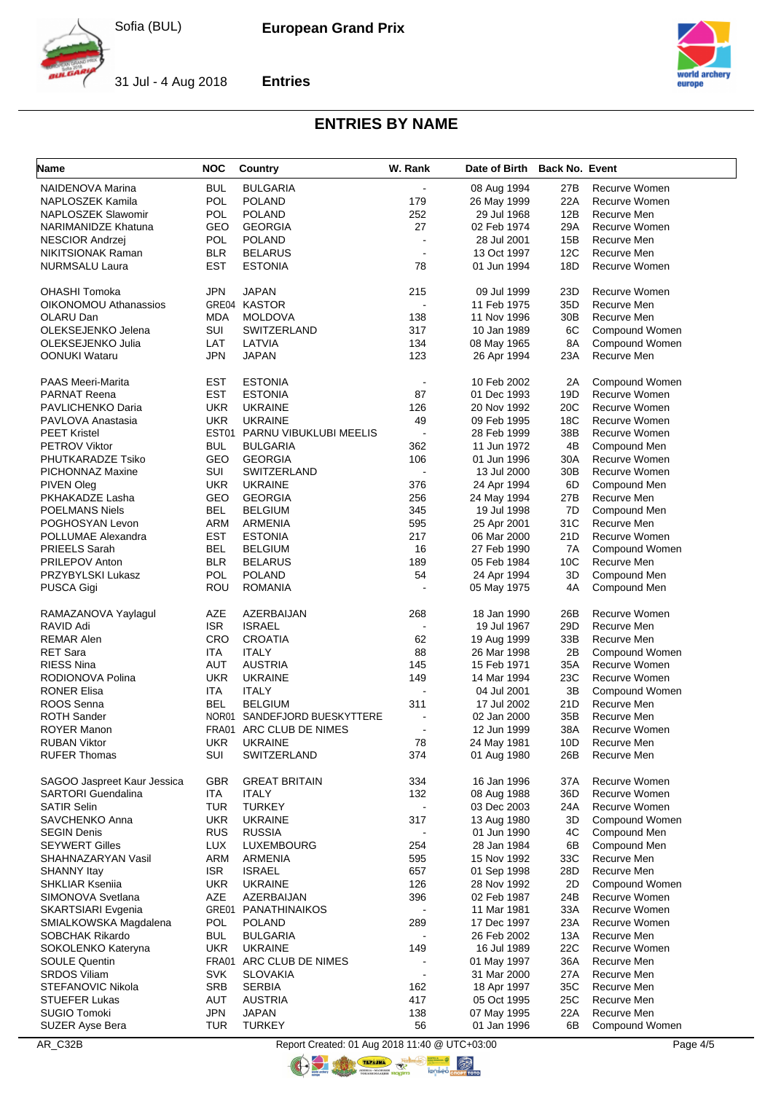**Entries**



31 Jul - 4 Aug 2018



# **ENTRIES BY NAME**

| <b>Name</b>                  | <b>NOC</b> | <b>Country</b>          | W. Rank                  | Date of Birth Back No. Event |                 |                |
|------------------------------|------------|-------------------------|--------------------------|------------------------------|-----------------|----------------|
| NAIDENOVA Marina             | <b>BUL</b> | <b>BULGARIA</b>         | $\blacksquare$           | 08 Aug 1994                  | 27B             | Recurve Women  |
| <b>NAPLOSZEK Kamila</b>      | <b>POL</b> | <b>POLAND</b>           | 179                      | 26 May 1999                  | 22A             | Recurve Women  |
| <b>NAPLOSZEK Slawomir</b>    | <b>POL</b> | <b>POLAND</b>           | 252                      | 29 Jul 1968                  | 12B             | Recurve Men    |
| NARIMANIDZE Khatuna          | GEO        | <b>GEORGIA</b>          | 27                       | 02 Feb 1974                  | 29A             | Recurve Women  |
| NESCIOR Andrzej              | <b>POL</b> | <b>POLAND</b>           | $\overline{\phantom{a}}$ | 28 Jul 2001                  | 15B             | Recurve Men    |
| NIKITSIONAK Raman            | <b>BLR</b> | <b>BELARUS</b>          | $\blacksquare$           | 13 Oct 1997                  | 12C             | Recurve Men    |
| NURMSALU Laura               | EST        | <b>ESTONIA</b>          | 78                       | 01 Jun 1994                  | 18D             | Recurve Women  |
|                              |            |                         |                          |                              |                 |                |
| OHASHI Tomoka                | JPN        | <b>JAPAN</b>            | 215                      | 09 Jul 1999                  | 23D             | Recurve Women  |
| <b>OIKONOMOU Athanassios</b> |            | GRE04 KASTOR            | $\blacksquare$           | 11 Feb 1975                  | 35D             | Recurve Men    |
| OLARU Dan                    | <b>MDA</b> | <b>MOLDOVA</b>          | 138                      | 11 Nov 1996                  | 30B             | Recurve Men    |
| OLEKSEJENKO Jelena           | SUI        | <b>SWITZERLAND</b>      | 317                      | 10 Jan 1989                  | 6C              | Compound Women |
| OLEKSEJENKO Julia            | LAT        | LATVIA                  | 134                      | 08 May 1965                  | 8A              | Compound Women |
| OONUKI Wataru                | JPN        | <b>JAPAN</b>            | 123                      | 26 Apr 1994                  | 23A             | Recurve Men    |
|                              |            |                         |                          |                              |                 |                |
| PAAS Meeri-Marita            | EST        | <b>ESTONIA</b>          | $\blacksquare$           | 10 Feb 2002                  | 2A              | Compound Women |
| <b>PARNAT Reena</b>          | EST        | <b>ESTONIA</b>          | 87                       | 01 Dec 1993                  | 19D             | Recurve Women  |
| PAVLICHENKO Daria            | <b>UKR</b> | <b>UKRAINE</b>          | 126                      | 20 Nov 1992                  | 20C             | Recurve Women  |
| PAVLOVA Anastasia            | <b>UKR</b> | <b>UKRAINE</b>          | 49                       | 09 Feb 1995                  | 18C             | Recurve Women  |
| <b>PEET Kristel</b>          | EST01      | PARNU VIBUKLUBI MEELIS  | $\overline{a}$           | 28 Feb 1999                  | 38B             | Recurve Women  |
| <b>PETROV Viktor</b>         | <b>BUL</b> | <b>BULGARIA</b>         | 362                      | 11 Jun 1972                  | 4B              | Compound Men   |
| PHUTKARADZE Tsiko            | GEO        | <b>GEORGIA</b>          | 106                      | 01 Jun 1996                  | 30A             | Recurve Women  |
| <b>PICHONNAZ Maxine</b>      | SUI        | SWITZERLAND             |                          | 13 Jul 2000                  | 30 <sub>B</sub> | Recurve Women  |
| PIVEN Oleg                   | <b>UKR</b> | <b>UKRAINE</b>          | 376                      | 24 Apr 1994                  | 6D              | Compound Men   |
| PKHAKADZE Lasha              | GEO        | <b>GEORGIA</b>          | 256                      | 24 May 1994                  | 27B             | Recurve Men    |
| <b>POELMANS Niels</b>        | <b>BEL</b> | <b>BELGIUM</b>          | 345                      | 19 Jul 1998                  | 7D              | Compound Men   |
| POGHOSYAN Levon              | <b>ARM</b> | ARMENIA                 | 595                      | 25 Apr 2001                  | 31C             | Recurve Men    |
| POLLUMAE Alexandra           | <b>EST</b> | <b>ESTONIA</b>          | 217                      | 06 Mar 2000                  | 21D             | Recurve Women  |
| PRIEELS Sarah                | <b>BEL</b> | <b>BELGIUM</b>          | 16                       | 27 Feb 1990                  | 7A              | Compound Women |
| PRILEPOV Anton               | <b>BLR</b> | <b>BELARUS</b>          | 189                      | 05 Feb 1984                  | 10C             | Recurve Men    |
| PRZYBYLSKI Lukasz            | <b>POL</b> | <b>POLAND</b>           | 54                       | 24 Apr 1994                  | 3D              | Compound Men   |
| PUSCA Gigi                   | ROU        | <b>ROMANIA</b>          | $\overline{\phantom{a}}$ | 05 May 1975                  | 4A              | Compound Men   |
|                              |            |                         |                          |                              |                 |                |
| RAMAZANOVA Yaylagul          | AZE        | AZERBAIJAN              | 268                      | 18 Jan 1990                  | 26B             | Recurve Women  |
| RAVID Adi                    | <b>ISR</b> | <b>ISRAEL</b>           |                          | 19 Jul 1967                  | 29D             | Recurve Men    |
| REMAR Alen                   | <b>CRO</b> | <b>CROATIA</b>          | 62                       | 19 Aug 1999                  | 33B             | Recurve Men    |
| <b>RET Sara</b>              | ITA        | <b>ITALY</b>            | 88                       | 26 Mar 1998                  | 2Β              | Compound Women |
| RIESS Nina                   | AUT        | <b>AUSTRIA</b>          | 145                      | 15 Feb 1971                  | 35A             | Recurve Women  |
| RODIONOVA Polina             | <b>UKR</b> | <b>UKRAINE</b>          | 149                      | 14 Mar 1994                  | 23C             | Recurve Women  |
| <b>RONER Elisa</b>           | ITA        | <b>ITALY</b>            | $\overline{a}$           | 04 Jul 2001                  | 3B              | Compound Women |
| ROOS Senna                   | <b>BEL</b> | <b>BELGIUM</b>          | 311                      | 17 Jul 2002                  | 21D             | Recurve Men    |
| <b>ROTH Sander</b>           | NOR01      | SANDEFJORD BUESKYTTERE  | $\blacksquare$           | 02 Jan 2000                  | 35B             | Recurve Men    |
| <b>ROYER Manon</b>           |            | FRA01 ARC CLUB DE NIMES | $\blacksquare$           | 12 Jun 1999                  | 38A             | Recurve Women  |
| <b>RUBAN Viktor</b>          | <b>UKR</b> | <b>UKRAINE</b>          | 78                       | 24 May 1981                  | 10D             | Recurve Men    |
| <b>RUFER Thomas</b>          | SUI        | SWITZERLAND             | 374                      | 01 Aug 1980                  | 26B             | Recurve Men    |
|                              |            |                         |                          |                              |                 |                |
| SAGOO Jaspreet Kaur Jessica  | GBR        | <b>GREAT BRITAIN</b>    | 334                      | 16 Jan 1996                  | 37A             | Recurve Women  |
| <b>SARTORI Guendalina</b>    | ITA        | <b>ITALY</b>            | 132                      | 08 Aug 1988                  | 36D             | Recurve Women  |
| <b>SATIR Selin</b>           | TUR        | <b>TURKEY</b>           | $\overline{\phantom{a}}$ | 03 Dec 2003                  | 24A             | Recurve Women  |
| SAVCHENKO Anna               | <b>UKR</b> | <b>UKRAINE</b>          | 317                      | 13 Aug 1980                  | 3D              | Compound Women |
| <b>SEGIN Denis</b>           | <b>RUS</b> | <b>RUSSIA</b>           |                          | 01 Jun 1990                  | 4C              | Compound Men   |
| <b>SEYWERT Gilles</b>        | <b>LUX</b> | <b>LUXEMBOURG</b>       | 254                      | 28 Jan 1984                  | 6B              | Compound Men   |
| SHAHNAZARYAN Vasil           | ARM        | ARMENIA                 | 595                      | 15 Nov 1992                  | 33C             | Recurve Men    |
| SHANNY Itay                  | <b>ISR</b> | <b>ISRAEL</b>           | 657                      | 01 Sep 1998                  | 28D             | Recurve Men    |
| <b>SHKLIAR Kseniia</b>       | <b>UKR</b> | <b>UKRAINE</b>          | 126                      | 28 Nov 1992                  | 2D              | Compound Women |
| SIMONOVA Svetlana            | AZE        | AZERBAIJAN              | 396                      | 02 Feb 1987                  | 24B             | Recurve Women  |
| SKARTSIARI Evgenia           | GRE01      | PANATHINAIKOS           |                          | 11 Mar 1981                  | 33A             | Recurve Women  |
| SMIALKOWSKA Magdalena        | <b>POL</b> | <b>POLAND</b>           | 289                      | 17 Dec 1997                  | 23A             | Recurve Women  |
| SOBCHAK Rikardo              | <b>BUL</b> | <b>BULGARIA</b>         |                          | 26 Feb 2002                  | 13A             | Recurve Men    |
| SOKOLENKO Kateryna           | <b>UKR</b> | <b>UKRAINE</b>          | 149                      | 16 Jul 1989                  | 22C             | Recurve Women  |
| <b>SOULE Quentin</b>         |            | FRA01 ARC CLUB DE NIMES |                          | 01 May 1997                  | 36A             | Recurve Men    |
| SRDOS Viliam                 | <b>SVK</b> | <b>SLOVAKIA</b>         |                          | 31 Mar 2000                  | 27A             | Recurve Men    |
| STEFANOVIC Nikola            | <b>SRB</b> | <b>SERBIA</b>           | 162                      | 18 Apr 1997                  | 35C             | Recurve Men    |
| <b>STUEFER Lukas</b>         | AUT        | <b>AUSTRIA</b>          | 417                      | 05 Oct 1995                  | 25C             | Recurve Men    |
| SUGIO Tomoki                 | <b>JPN</b> | <b>JAPAN</b>            | 138                      | 07 May 1995                  | 22A             | Recurve Men    |
| <b>SUZER Ayse Bera</b>       | <b>TUR</b> | <b>TURKEY</b>           | 56                       | 01 Jan 1996                  | 6B              | Compound Women |

AR\_C32B Report Created: 01 Aug 2018 11:40 @ UTC+03:00 Page 4/5 COLOR TENANT

**ORIGINAL**